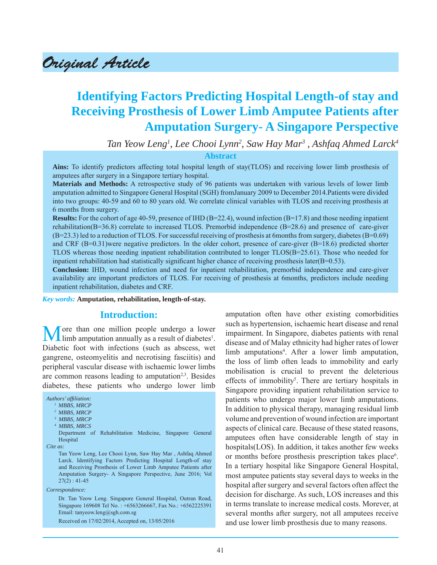Original Article

# **Identifying Factors Predicting Hospital Length-of stay and Receiving Prosthesis of Lower Limb Amputee Patients after Amputation Surgery- A Singapore Perspective**

*Tan Yeow Leng1 , Lee Chooi Lynn2 , Saw Hay Mar3 , Ashfaq Ahmed Larck4*

**Abstract**

**Ains:** To identify predictors affecting total hospital length of stay(TLOS) and receiving lower limb prosthesis of amputees after surgery in a Singapore tertiary hospital.

**Materials and Methods:** A retrospective study of 96 patients was undertaken with various levels of lower limb amputation admitted to Singapore General Hospital (SGH) fromJanuary 2009 to December 2014.Patients were divided into two groups: 40-59 and 60 to 80 years old. We correlate clinical variables with TLOS and receiving prosthesis at 6 months from surgery.

**Results:** For the cohort of age 40-59, presence of IHD ( $B=22.4$ ), wound infection ( $B=17.8$ ) and those needing inpatient rehabilitation(B=36.8) correlate to increased TLOS. Premorbid independence (B=28.6) and presence of care-giver (B=23.3) led to a reduction of TLOS. For successful receiving of prosthesis at 6months from surgery, diabetes (B=0.69) and CRF (B=0.31)were negative predictors. In the older cohort, presence of care-giver (B=18.6) predicted shorter TLOS whereas those needing inpatient rehabilitation contributed to longer TLOS(B=25.61). Those who needed for inpatient rehabilitation had statistically significant higher chance of receiving prosthesis later( $B=0.53$ ).

**Conclusion:** IHD, wound infection and need for inpatient rehabilitation, premorbid independence and care-giver availability are important predictors of TLOS. For receiving of prosthesis at 6months, predictors include needing inpatient rehabilitation, diabetes and CRF.

#### *Key words:* **Amputation, rehabilitation, length-of-stay.**

#### **Introduction:**

More than one million people undergo a lower limb amputation annually as a result of diabetes<sup>1</sup>. Diabetic foot with infections (such as abscess, wet gangrene, osteomyelitis and necrotising fasciitis) and peripheral vascular disease with ischaemic lower limbs are common reasons leading to amputation<sup>2,3</sup>. Besides diabetes, these patients who undergo lower limb

*Authors' affi liation: 1 MBBS, MRCP 2 MBBS, MRCP 3 MBBS, MRCP 4 MBBS, MRCS* Department of Rehabilitation Medicine, Singapore General Hospital *Cite as:* Tan Yeow Leng, Lee Chooi Lynn, Saw Hay Mar , Ashfaq Ahmed Larck. Identifying Factors Predicting Hospital Length-of stay and Receiving Prosthesis of Lower Limb Amputee Patients after Amputation Surgery- A Singapore Perspective, June 2016; Vol  $27(2) : 41-45$ 

*Correspondence:*

 Dr. Tan Yeow Leng. Singapore General Hospital, Outran Road, Singapore 169608 Tel No. : +6563266667, Fax No.: +6562225391 Email: tanyeow.leng@sgh.com.sg

Received on 17/02/2014, Accepted on, 13/05/2016

amputation often have other existing comorbidities such as hypertension, ischaemic heart disease and renal impairment. In Singapore, diabetes patients with renal disease and of Malay ethnicity had higher rates of lower limb amputations<sup>4</sup>. After a lower limb amputation, the loss of limb often leads to immobility and early mobilisation is crucial to prevent the deleterious effects of immobility<sup>5</sup>. There are tertiary hospitals in Singapore providing inpatient rehabilitation service to patients who undergo major lower limb amputations. In addition to physical therapy, managing residual limb volume and prevention of wound infection are important aspects of clinical care. Because of these stated reasons, amputees often have considerable length of stay in hospitals(LOS). In addition, it takes another few weeks or months before prosthesis prescription takes place<sup>6</sup>. In a tertiary hospital like Singapore General Hospital, most amputee patients stay several days to weeks in the hospital after surgery and several factors often affect the decision for discharge. As such, LOS increases and this in terms translate to increase medical costs. Morever, at several months after surgery, not all amputees receive and use lower limb prosthesis due to many reasons.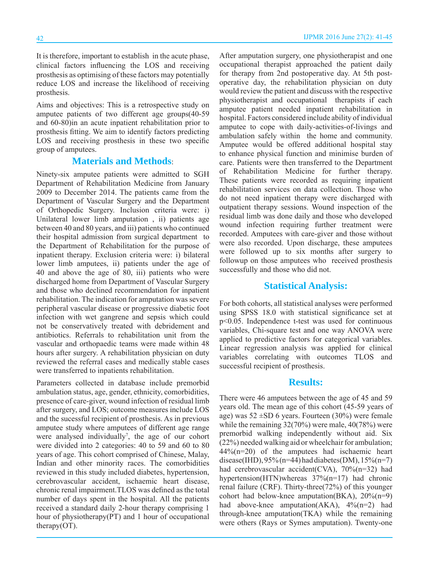It is therefore, important to establish in the acute phase, clinical factors influencing the LOS and receiving prosthesis as optimising of these factors may potentially reduce LOS and increase the likelihood of receiving prosthesis.

Aims and objectives: This is a retrospective study on amputee patients of two different age groups(40-59 and 60-80)in an acute inpatient rehabilitation prior to prosthesis fitting. We aim to identify factors predicting LOS and receiving prosthesis in these two specific group of amputees.

## **Materials and Methods**:

Ninety-six amputee patients were admitted to SGH Department of Rehabilitation Medicine from January 2009 to December 2014. The patients came from the Department of Vascular Surgery and the Department of Orthopedic Surgery. Inclusion criteria were: i) Unilateral lower limb amputation , ii) patients age between 40 and 80 years, and iii) patients who continued their hospital admission from surgical department to the Department of Rehabilitation for the purpose of inpatient therapy. Exclusion criteria were: i) bilateral lower limb amputees, ii) patients under the age of 40 and above the age of 80, iii) patients who were discharged home from Department of Vascular Surgery and those who declined recommendation for inpatient rehabilitation. The indication for amputation was severe peripheral vascular disease or progressive diabetic foot infection with wet gangrene and sepsis which could not be conservatively treated with debridement and antibiotics. Referrals to rehabilitation unit from the vascular and orthopaedic teams were made within 48 hours after surgery. A rehabilitation physician on duty reviewed the referral cases and medically stable cases were transferred to inpatients rehabilitation.

Parameters collected in database include premorbid ambulation status, age, gender, ethnicity, comorbidities, presence of care-giver, wound infection of residual limb after surgery, and LOS; outcome measures include LOS and the sucessful recipient of prosthesis. As in previous amputee study where amputees of different age range were analysed individually<sup>7</sup>, the age of our cohort were divided into 2 categories: 40 to 59 and 60 to 80 years of age. This cohort comprised of Chinese, Malay, Indian and other minority races. The comorbidities reviewed in this study included diabetes, hypertension, cerebrovascular accident, ischaemic heart disease, chronic renal impairment.TLOS was defined as the total number of days spent in the hospital. All the patients received a standard daily 2-hour therapy comprising 1 hour of physiotherapy(PT) and 1 hour of occupational therapy $(OT)$ .

After amputation surgery, one physiotherapist and one occupational therapist approached the patient daily for therapy from 2nd postoperative day. At 5th postoperative day, the rehabilitation physician on duty would review the patient and discuss with the respective physiotherapist and occupational therapists if each amputee patient needed inpatient rehabilitation in hospital. Factors considered include ability of individual amputee to cope with daily-activities-of-livings and ambulation safely within the home and community. Amputee would be offered additional hospital stay to enhance physical function and minimise burden of care. Patients were then transferred to the Department of Rehabilitation Medicine for further therapy. These patients were recorded as requiring inpatient rehabilitation services on data collection. Those who do not need inpatient therapy were discharged with outpatient therapy sessions. Wound inspection of the residual limb was done daily and those who developed wound infection requiring further treatment were recorded. Amputees with care-giver and those without were also recorded. Upon discharge, these amputees were followed up to six months after surgery to followup on those amputees who received prosthesis successfully and those who did not.

#### **Statistical Analysis:**

For both cohorts, all statistical analyses were performed using SPSS 18.0 with statistical significance set at p<0.05. Independence t-test was used for continuous variables, Chi-square test and one way ANOVA were applied to predictive factors for categorical variables. Linear regression analysis was applied for clinical variables correlating with outcomes TLOS and successful recipient of prosthesis.

## **Results:**

There were 46 amputees between the age of 45 and 59 years old. The mean age of this cohort (45-59 years of age) was  $52 \pm SD$  6 years. Fourteen (30%) were female while the remaining 32(70%) were male, 40(78%) were premorbid walking independently without aid. Six (22%) needed walking aid or wheelchair for ambulation;  $44\%$ (n=20) of the amputees had ischaemic heart disease(IHD),  $95\%$  (n=44) had diabetes(DM),  $15\%$  (n=7) had cerebrovascular accident(CVA), 70%(n=32) had hypertension(HTN)whereas 37%(n=17) had chronic renal failure (CRF). Thirty-three(72%) of this younger cohort had below-knee amputation( $BKA$ ),  $20\%(n=9)$ had above-knee amputation( $AKA$ ),  $4\%$ (n=2) had through-knee amputation(TKA) while the remaining were others (Rays or Symes amputation). Twenty-one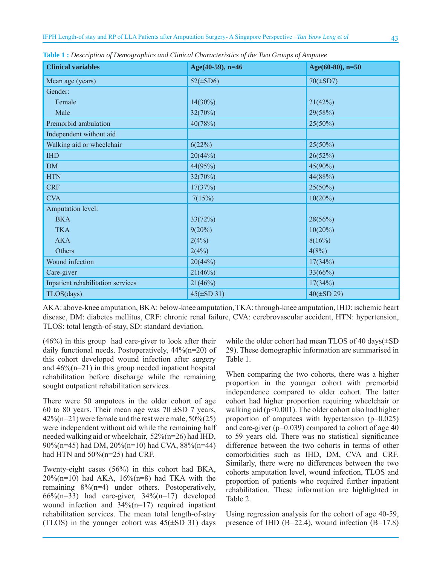| <b>Clinical variables</b>         | Age(40-59), $n=46$ | Age $(60-80)$ , n=50 |  |
|-----------------------------------|--------------------|----------------------|--|
| Mean age (years)                  | $52(\pm SD6)$      | $70(\pm SD7)$        |  |
| Gender:                           |                    |                      |  |
| Female                            | $14(30\%)$         | 21(42%)              |  |
| Male                              | 32(70%)            | 29(58%)              |  |
| Premorbid ambulation              | 40(78%)            | $25(50\%)$           |  |
| Independent without aid           |                    |                      |  |
| Walking aid or wheelchair         | 6(22%)             | $25(50\%)$           |  |
| <b>IHD</b>                        | 20(44%)            | 26(52%)              |  |
| <b>DM</b>                         | 44(95%)            | 45(90%)              |  |
| <b>HTN</b>                        | 32(70%)            | 44(88%)              |  |
| <b>CRF</b>                        | 17(37%)            | $25(50\%)$           |  |
| <b>CVA</b>                        | 7(15%)             | $10(20\%)$           |  |
| Amputation level:                 |                    |                      |  |
| <b>BKA</b>                        | 33(72%)            | 28(56%)              |  |
| <b>TKA</b>                        | $9(20\%)$          | $10(20\%)$           |  |
| <b>AKA</b>                        | 2(4%)              | 8(16%)               |  |
| Others                            | 2(4%)              | 4(8%)                |  |
| Wound infection                   | 20(44%)            | 17(34%)              |  |
| Care-giver                        | 21(46%)            | 33(66%)              |  |
| Inpatient rehabilitation services | 21(46%)            | 17(34%)              |  |
| TLOS(days)                        | $45(\pm SD 31)$    | $40(\pm SD 29)$      |  |

**Table 1 :** *Description of Demographics and Clinical Characteristics of the Two Groups of Amputee*

AKA: above-knee amputation, BKA: below-knee amputation, TKA: through-knee amputation, IHD: ischemic heart disease, DM: diabetes mellitus, CRF: chronic renal failure, CVA: cerebrovascular accident, HTN: hypertension, TLOS: total length-of-stay, SD: standard deviation.

(46%) in this group had care-giver to look after their daily functional needs. Postoperatively, 44%(n=20) of this cohort developed wound infection after surgery and  $46\%$ (n=21) in this group needed inpatient hospital rehabilitation before discharge while the remaining sought outpatient rehabilitation services.

There were 50 amputees in the older cohort of age 60 to 80 years. Their mean age was  $70 \pm SD$  7 years, 42%(n=21) were female and the rest were male, 50%(25) were independent without aid while the remaining half needed walking aid or wheelchair, 52%(n=26) had IHD, 90%(n=45) had DM, 20%(n=10) had CVA, 88%(n=44) had HTN and  $50\%$  (n=25) had CRF.

Twenty-eight cases (56%) in this cohort had BKA,  $20\%$ (n=10) had AKA,  $16\%$ (n=8) had TKA with the remaining 8%(n=4) under others. Postoperatively,  $66\%$ (n=33) had care-giver,  $34\%$ (n=17) developed wound infection and 34%(n=17) required inpatient rehabilitation services. The mean total length-of-stay (TLOS) in the younger cohort was  $45(\pm SD 31)$  days while the older cohort had mean TLOS of 40 days(±SD 29). These demographic information are summarised in Table 1.

When comparing the two cohorts, there was a higher proportion in the younger cohort with premorbid independence compared to older cohort. The latter cohort had higher proportion requiring wheelchair or walking aid ( $p<0.001$ ). The older cohort also had higher proportion of amputees with hypertension (p=0.025) and care-giver (p=0.039) compared to cohort of age 40 to 59 years old. There was no statistical significance difference between the two cohorts in terms of other comorbidities such as IHD, DM, CVA and CRF. Similarly, there were no differences between the two cohorts amputation level, wound infection, TLOS and proportion of patients who required further inpatient rehabilitation. These information are highlighted in Table 2.

Using regression analysis for the cohort of age 40-59, presence of IHD (B=22.4), wound infection (B=17.8)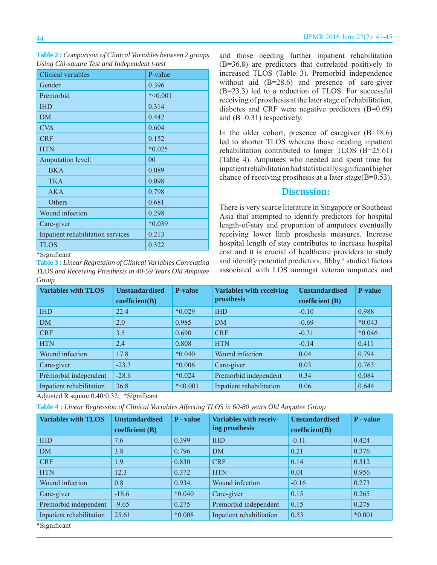| Clinical variables                | P-value   |
|-----------------------------------|-----------|
| Gender                            | 0.396     |
| Premorbid                         | $*<0.001$ |
| <b>IHD</b>                        | 0.314     |
| DM                                | 0.442     |
| <b>CVA</b>                        | 0.604     |
| <b>CRF</b>                        | 0.152     |
| <b>HTN</b>                        | $*0.025$  |
| <b>Amputation level:</b>          | 00        |
| <b>BKA</b>                        | 0.089     |
| <b>TKA</b>                        | 0.098     |
| <b>AKA</b>                        | 0.798     |
| Others                            | 0.681     |
| Wound infection                   | 0.298     |
| Care-giver                        | $*0.039$  |
| Inpatient rehabilitation services | 0.213     |
| <b>TLOS</b>                       | 0.322     |

**Table 2 :** *Comparison of Clinical Variables between 2 groups Using Chi-square Test and Independent t-test*

**Table 3 :** *Linear Regression of Clinical Variables Correlating TLOS and Receiving Prosthesis in 40-59 Years Old Amputee Group*

and those needing further inpatient rehabilitation (B=36.8) are predictors that correlated positively to increased TLOS (Table 3). Premorbid independence without aid (B=28.6) and presence of care-giver (B=23.3) led to a reduction of TLOS. For successful receiving of prosthesis at the later stage of rehabilitation, diabetes and CRF were negative predictors (B=0.69) and (B=0.31) respectively.

In the older cohort, presence of caregiver  $(B=18.6)$ led to shorter TLOS whereas those needing inpatient rehabilitation contributed to longer TLOS (B=25.61) (Table 4). Amputees who needed and spent time for inpatient rehabilitation had statistically significant higher chance of receiving prosthesis at a later stage(B=0.53).

## **Discussion:**

There is very scarce literature in Singapore or Southeast Asia that attempted to identify predictors for hospital length-of-stay and proportion of amputees eventually receiving lower limb prosthesis measures. Increase hospital length of stay contributes to increase hospital cost and it is crucial of healthcare providers to study and identify potential predictors. Jibby <sup>8</sup> studied factors associated with LOS amongst veteran amputees and

| <b>Variables with TLOS</b> | <b>Unstandardised</b><br>coefficient(B) | <b>P-value</b> | <b>Variables with receiving</b><br>prosthesis | <b>Unstandardised</b><br>coefficient (B) | <b>P-value</b> |
|----------------------------|-----------------------------------------|----------------|-----------------------------------------------|------------------------------------------|----------------|
|                            |                                         |                |                                               |                                          |                |
| <b>IHD</b>                 | 22.4                                    | $*0.029$       | <b>IHD</b>                                    | $-0.10$                                  | 0.988          |
| <b>DM</b>                  | 2.0                                     | 0.985          | DM                                            | $-0.69$                                  | $*0.043$       |
| <b>CRF</b>                 | 3.5                                     | 0.690          | <b>CRF</b>                                    | $-0.31$                                  | $*0.046$       |
| <b>HTN</b>                 | 2.4                                     | 0.808          | <b>HTN</b>                                    | $-0.14$                                  | 0.411          |
| Wound infection            | 17.8                                    | $*0.040$       | Wound infection                               | 0.04                                     | 0.794          |
| Care-giver                 | $-23.3$                                 | $*0.006$       | Care-giver                                    | 0.03                                     | 0.763          |
| Premorbid independent      | $-28.6$                                 | $*0.024$       | Premorbid independent                         | 0.34                                     | 0.084          |
| Inpatient rehabilitation   | 36.8                                    | $*<0.001$      | Inpatient rehabilitation                      | 0.06                                     | 0.644          |

Adjusted R square  $0.40/0.32$ ; \*Significant

**Table 4 :** *Linear Regression of Clinical Variables Affecting TLOS in 60-80 years Old Amputee Group*

| <b>Variables with TLOS</b> | <b>Unstandardised</b> | P - value | <b>Variables with receiv-</b> | <b>Unstandardised</b> | P - value |
|----------------------------|-----------------------|-----------|-------------------------------|-----------------------|-----------|
|                            | coefficient $(B)$     |           | ing prosthesis                | coefficient(B)        |           |
| <b>IHD</b>                 | 7.6                   | 0.399     | <b>IHD</b>                    | $-0.11$               | 0.424     |
| <b>DM</b>                  | 3.8                   | 0.796     | <b>DM</b>                     | 0.21                  | 0.376     |
| <b>CRF</b>                 | 1.9                   | 0.830     | <b>CRF</b>                    | 0.14                  | 0.312     |
| <b>HTN</b>                 | 12.3                  | 0.372     | <b>HTN</b>                    | 0.01                  | 0.956     |
| Wound infection            | 0.8                   | 0.934     | Wound infection               | $-0.16$               | 0.273     |
| Care-giver                 | $-18.6$               | $*0.040$  | Care-giver                    | 0.15                  | 0.265     |
| Premorbid independent      | $-9.65$               | 0.275     | Premorbid independent         | 0.15                  | 0.278     |
| Inpatient rehabilitation   | 25.61                 | $*0.008$  | Inpatient rehabilitation      | 0.53                  | $*0.001$  |
| *Significant               |                       |           |                               |                       |           |